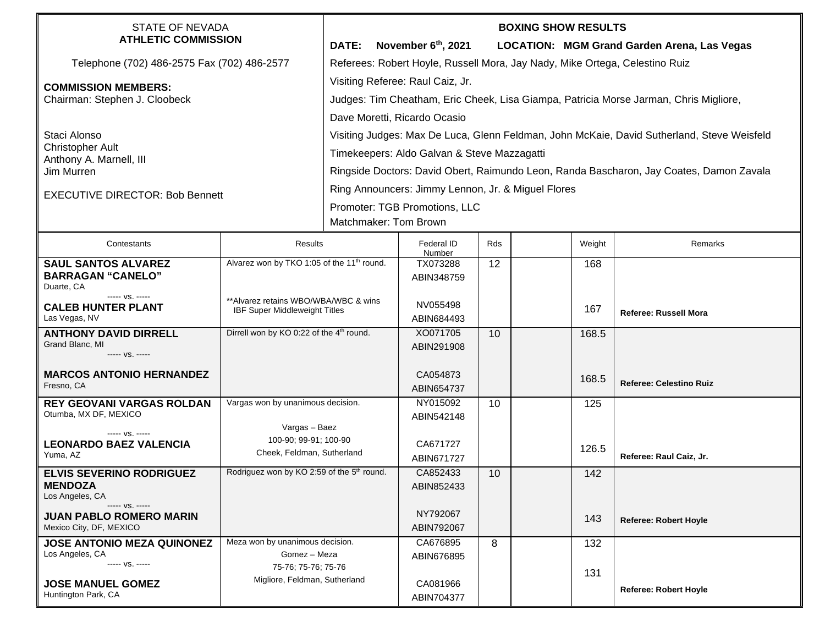| <b>STATE OF NEVADA</b><br><b>ATHLETIC COMMISSION</b>                                                             |                                                                              | <b>BOXING SHOW RESULTS</b>                                                                 |                                             |                                                                                         |     |        |                                             |  |  |
|------------------------------------------------------------------------------------------------------------------|------------------------------------------------------------------------------|--------------------------------------------------------------------------------------------|---------------------------------------------|-----------------------------------------------------------------------------------------|-----|--------|---------------------------------------------|--|--|
|                                                                                                                  |                                                                              | DATE:                                                                                      | November $6th$ , 2021                       |                                                                                         |     |        | LOCATION: MGM Grand Garden Arena, Las Vegas |  |  |
| Telephone (702) 486-2575 Fax (702) 486-2577                                                                      |                                                                              | Referees: Robert Hoyle, Russell Mora, Jay Nady, Mike Ortega, Celestino Ruiz                |                                             |                                                                                         |     |        |                                             |  |  |
| <b>COMMISSION MEMBERS:</b><br>Chairman: Stephen J. Cloobeck                                                      |                                                                              | Visiting Referee: Raul Caiz, Jr.                                                           |                                             |                                                                                         |     |        |                                             |  |  |
|                                                                                                                  |                                                                              | Judges: Tim Cheatham, Eric Cheek, Lisa Giampa, Patricia Morse Jarman, Chris Migliore,      |                                             |                                                                                         |     |        |                                             |  |  |
|                                                                                                                  |                                                                              | Dave Moretti, Ricardo Ocasio                                                               |                                             |                                                                                         |     |        |                                             |  |  |
| Staci Alonso                                                                                                     |                                                                              | Visiting Judges: Max De Luca, Glenn Feldman, John McKaie, David Sutherland, Steve Weisfeld |                                             |                                                                                         |     |        |                                             |  |  |
| <b>Christopher Ault</b>                                                                                          |                                                                              |                                                                                            | Timekeepers: Aldo Galvan & Steve Mazzagatti |                                                                                         |     |        |                                             |  |  |
| Anthony A. Marnell, III<br>Jim Murren                                                                            |                                                                              |                                                                                            |                                             | Ringside Doctors: David Obert, Raimundo Leon, Randa Bascharon, Jay Coates, Damon Zavala |     |        |                                             |  |  |
|                                                                                                                  |                                                                              | Ring Announcers: Jimmy Lennon, Jr. & Miguel Flores                                         |                                             |                                                                                         |     |        |                                             |  |  |
| <b>EXECUTIVE DIRECTOR: Bob Bennett</b>                                                                           |                                                                              |                                                                                            |                                             |                                                                                         |     |        |                                             |  |  |
|                                                                                                                  |                                                                              | Promoter: TGB Promotions, LLC<br>Matchmaker: Tom Brown                                     |                                             |                                                                                         |     |        |                                             |  |  |
|                                                                                                                  |                                                                              |                                                                                            |                                             |                                                                                         |     |        |                                             |  |  |
| Contestants                                                                                                      | Results                                                                      |                                                                                            | Federal ID<br>Number                        | Rds                                                                                     |     | Weight | Remarks                                     |  |  |
| Alvarez won by TKO 1:05 of the 11 <sup>th</sup> round.<br><b>SAUL SANTOS ALVAREZ</b><br><b>BARRAGAN "CANELO"</b> |                                                                              |                                                                                            | TX073288                                    | 12                                                                                      |     | 168    |                                             |  |  |
| Duarte, CA                                                                                                       |                                                                              |                                                                                            | ABIN348759                                  |                                                                                         |     |        |                                             |  |  |
| ----- VS. -----<br><b>CALEB HUNTER PLANT</b>                                                                     | **Alvarez retains WBO/WBA/WBC & wins<br><b>IBF Super Middleweight Titles</b> |                                                                                            | NV055498                                    |                                                                                         |     | 167    |                                             |  |  |
| Las Vegas, NV                                                                                                    |                                                                              |                                                                                            | ABIN684493                                  |                                                                                         |     |        | <b>Referee: Russell Mora</b>                |  |  |
| <b>ANTHONY DAVID DIRRELL</b><br>Grand Blanc, MI                                                                  | Dirrell won by KO 0:22 of the 4 <sup>th</sup> round.                         |                                                                                            | XO071705                                    | 10                                                                                      |     | 168.5  |                                             |  |  |
| ----- VS. -----                                                                                                  |                                                                              |                                                                                            | ABIN291908                                  |                                                                                         |     |        |                                             |  |  |
| <b>MARCOS ANTONIO HERNANDEZ</b>                                                                                  |                                                                              |                                                                                            | CA054873                                    |                                                                                         |     | 168.5  |                                             |  |  |
| Fresno, CA                                                                                                       |                                                                              |                                                                                            | ABIN654737                                  |                                                                                         |     |        | <b>Referee: Celestino Ruiz</b>              |  |  |
| <b>REY GEOVANI VARGAS ROLDAN</b>                                                                                 | Vargas won by unanimous decision.                                            |                                                                                            | NY015092                                    | 10                                                                                      |     | 125    |                                             |  |  |
| Otumba, MX DF, MEXICO                                                                                            | Vargas - Baez                                                                |                                                                                            | ABIN542148                                  |                                                                                         |     |        |                                             |  |  |
| $--- VS. ---$<br><b>LEONARDO BAEZ VALENCIA</b>                                                                   | 100-90; 99-91; 100-90                                                        |                                                                                            | CA671727                                    |                                                                                         |     |        |                                             |  |  |
| Yuma, AZ                                                                                                         | Cheek, Feldman, Sutherland                                                   |                                                                                            | ABIN671727                                  |                                                                                         |     | 126.5  | Referee: Raul Caiz, Jr.                     |  |  |
| <b>ELVIS SEVERINO RODRIGUEZ</b>                                                                                  | Rodriguez won by KO 2:59 of the 5 <sup>th</sup> round.                       |                                                                                            | CA852433                                    | 10                                                                                      |     | 142    |                                             |  |  |
| <b>MENDOZA</b><br>Los Angeles, CA                                                                                |                                                                              |                                                                                            | ABIN852433                                  |                                                                                         |     |        |                                             |  |  |
| ----- VS. -----                                                                                                  |                                                                              |                                                                                            | NY792067                                    |                                                                                         |     |        |                                             |  |  |
| <b>JUAN PABLO ROMERO MARIN</b><br>Mexico City, DF, MEXICO                                                        |                                                                              |                                                                                            | ABIN792067                                  |                                                                                         |     | 143    | <b>Referee: Robert Hoyle</b>                |  |  |
| <b>JOSE ANTONIO MEZA QUINONEZ</b>                                                                                | Meza won by unanimous decision.                                              |                                                                                            | CA676895                                    | 8                                                                                       |     | 132    |                                             |  |  |
| Los Angeles, CA<br>----- VS. -----                                                                               | Gomez - Meza<br>75-76; 75-76; 75-76                                          |                                                                                            | ABIN676895                                  |                                                                                         |     |        |                                             |  |  |
| <b>JOSE MANUEL GOMEZ</b>                                                                                         |                                                                              | Migliore, Feldman, Sutherland                                                              |                                             |                                                                                         | 131 |        |                                             |  |  |
| Huntington Park, CA                                                                                              |                                                                              |                                                                                            | CA081966<br>ABIN704377                      |                                                                                         |     |        | <b>Referee: Robert Hoyle</b>                |  |  |